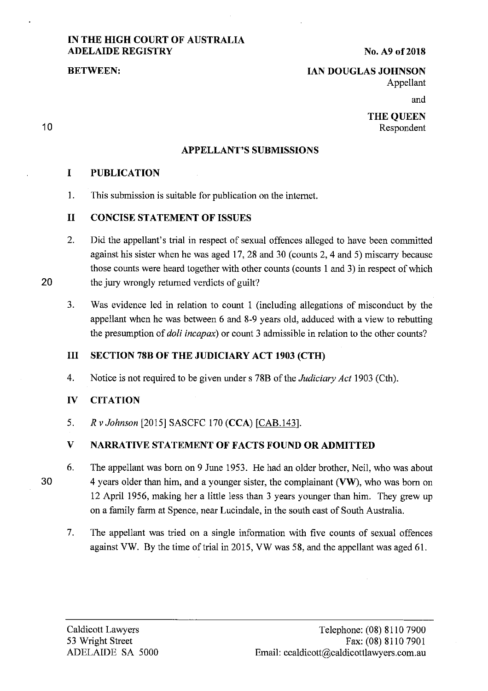# **IN THE HIGH COURT OF AUSTRALIA ADELAIDE REGISTRY**

**No. A9 of2018** 

### **BETWEEN:**

10

# **IAN DOUGLAS JOHNSON**

Appellant

and

**THE QUEEN**  Respondent

### **APPELLANT'S SUBMISSIONS**

# **I PUBLICATION**

I. This submission is suitable for publication on the internet.

# **II CONCISE STATEMENT OF ISSUES**

- 2. Did the appellant's trial in respect of sexual offences alleged to have been committed against his sister when he was aged 17, 28 and 30 ( counts 2, 4 and 5) miscarry because those counts were heard together with other counts (counts I and 3) in respect of which **20** the jury wrongly returned verdicts of guilt?
	- 3. Was evidence led in relation to count I (including allegations of misconduct by the appellant when he was between 6 and 8-9 years old, adduced with a view to rebutting the presumption of *doli incapax)* or count 3 admissible in relation to the other counts?

## **III SECTION 78B OF THE JUDICIARY ACT 1903 (CTH)**

4. Notice is not required to be given under s 78B of the *Judiciary Act* 1903 (Cth).

## **IV CITATION**

5. *R v Johnson* [2015] SASCFC 170 **(CCA)** (CAB.143].

# **V NARRATIVE STATEMENT OF FACTS FOUND OR ADMITTED**

- 6. The appellant was born on 9 June 1953. He had an older brother, Neil, who was about 30 4 years older than him, and a younger sister, the complainant **(VW),** who was born on 12 April 1956, making her a little less than 3 years younger than him. They grew up on a family farm at Spence, near Lucindale, in the south east of South Australia.
	- 7. The appellant was tried on a single information with five counts of sexual offences against VW. By the time of trial in 2015, VW was 58, and the appellant was aged 61.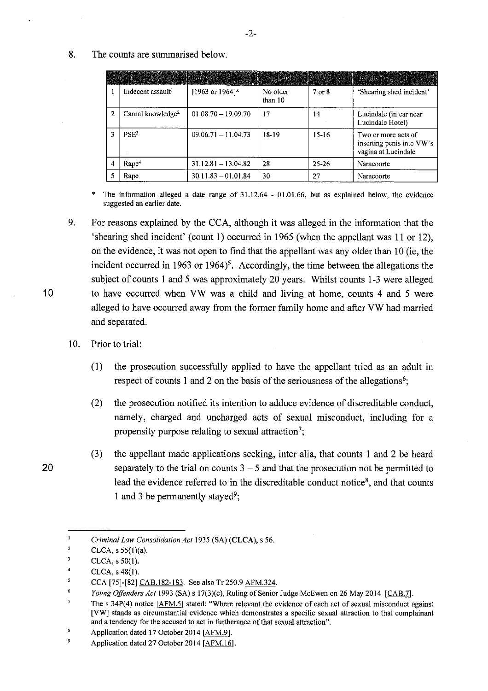8. The counts are summarised below.

|                |                               |                             |                     |           | Course and the control of the control of the control of the control of the control of the control of the control of |
|----------------|-------------------------------|-----------------------------|---------------------|-----------|---------------------------------------------------------------------------------------------------------------------|
|                | Indecent assault <sup>1</sup> | $[1963 \text{ or } 1964]$ * | No older<br>than 10 | 7 or 8    | "Shearing shed incident"                                                                                            |
| $\overline{2}$ | Carnal knowledge <sup>2</sup> | $01.08.70 - 19.09.70$       | 17                  | 14        | Lucindale (in car near<br>Lucindale Hotel)                                                                          |
|                | PSE <sup>3</sup>              | $09.06.71 - 11.04.73$       | 18-19               | $15 - 16$ | Two or more acts of<br>inserting penis into VW's<br>vagina at Lucindale                                             |
|                | Rape <sup>4</sup>             | $31.12.81 - 13.04.82$       | 28                  | 25-26     | Naracoorte                                                                                                          |
|                | Rape                          | $30.11.83 - 01.01.84$       | 30                  | 27        | Naracoorte                                                                                                          |

The information alleged a date range of  $31.12.64 - 01.01.66$ , but as explained below, the evidence **suggested an earlier date.** 

- 9. For reasons explained by the CCA, although it was alleged in the information that the 'shearing shed incident' (count I) occurred in 1965 (when the appellant was 11 or 12), on the evidence, it was not open to find that the appellant was any older than IO (ie, the incident occurred in 1963 or 1964)<sup>5</sup>. Accordingly, the time between the allegations the subject of counts I and 5 was approximately 20 years. Whilst counts 1-3 were alleged 10 to have occurred when VW was a child and living at home, counts 4 and 5 were alleged to have occurred away from the former family home and after VW had married and separated.
	- 10. Prior to trial:
		- (I) the prosecution successfully applied to have the appellant tried as an adult in respect of counts 1 and 2 on the basis of the seriousness of the allegations<sup>6</sup>;
		- (2) the prosecution notified its intention to adduce evidence of discreditable conduct, namely, charged and uncharged acts of sexual misconduct, including for a propensity purpose relating to sexual attraction<sup>7</sup>;
- (3) the appellant made applications seeking, inter alia, that counts I and 2 be heard 20 separately to the trial on counts  $3 - 5$  and that the prosecution not be permitted to lead the evidence referred to in the discreditable conduct notice $\delta$ , and that counts 1 and 3 be permanently stayed<sup>9</sup>;

 $\mathbf{I}$ *Criminal Law Consolidation Act* 1935 (SA) **(CLCA),** s 56.

 $\overline{2}$ CLCA,  $s$  55(1)(a).

 $\overline{\mathbf{3}}$ CLCA, s 50(1).

<sup>4</sup>  CLCA, s 48(1).

<sup>5</sup> CCA [75]-[82] CAB.182-183. See also Tr 250.9 AFM.324.

<sup>6</sup> *Young Offenders Act* 1993 (SA) s l 7(3)(c), Ruling of Senior Judge McEwen on 26 May 2014 [CAB.7).

 $\overline{7}$ The s 34P(4) notice [AFM.5] stated: "Where relevant the evidence of each act of sexual misconduct against **[VW] stands as circumstantial evidence which demonstrates a specific sexual attraction to that complainant and a tendency for the accused to act in furtherance of that sexual attraction".** 

 $\mathbf R$ Application dated 17 October 2014 [AFM.9].

Application dated 27 October 2014 [AFM.16].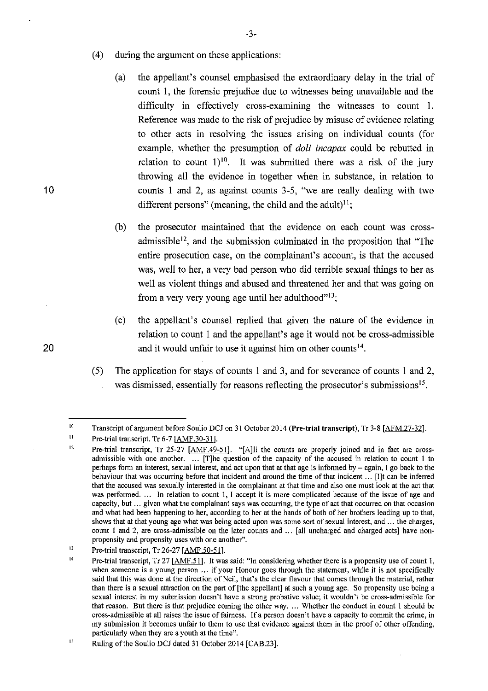- ( 4) during the argument on these applications:
	- (a) the appellant's counsel emphasised the extraordinary delay in the trial of count 1, the forensic prejudice due to witnesses being unavailable and the difficulty in effectively cross-examining the witnesses to count 1. Reference was made to the risk of prejudice by misuse of evidence relating to other acts in resolving the issues arising on individual counts (for example, whether the presumption of *doli incapax* could be rebutted in relation to count  $1$ <sup>10</sup>. It was submitted there was a risk of the jury throwing all the evidence in together when in substance, in relation to counts 1 and 2, as against counts 3-5, "we are really dealing with two different persons" (meaning, the child and the adult)<sup>11</sup>;
	- (b) the prosecutor maintained that the evidence on each count was crossadmissible<sup>12</sup>, and the submission culminated in the proposition that "The entire prosecution case, on the complainant's account, is that the accused was, well to her, a very bad person who did terrible sexual things to her as well as violent things and abused and threatened her and that was going on from a very very young age until her adulthood"<sup>13</sup>;
- (c) the appellant's counsel replied that given the nature of the evidence in relation to count 1 and the appellant's age it would not be cross-admissible 20 and it would unfair to use it against him on other counts<sup>14</sup>.
	- ( 5) The application for stays of counts 1 and 3, and for severance of counts 1 and 2, was dismissed, essentially for reasons reflecting the prosecutor's submissions<sup>15</sup>.

-3-

<sup>10</sup>  Transcript of argument before Soulio DCJ on 31 October 2014 (Pre-trial transcript), Tr 3-8 [AFM.27-32].

<sup>11</sup>  Pre-trial transcript, Tr 6-7 [AMF.30-31].

<sup>12</sup>  Pre-trial transcript, Tr 25-27 [AMF.49-51]. "[A]II the counts are properly joined and in fact are cross**admissible with one another.** . .. **[T]he question of the capacity of the accused in relation to count 1 to perhaps form an interest, sexual interest, and act upon that at that age is informed by – again, I go back to the behaviour that was occurring before that incident and around the time of that incident** ... **[I]t can be inferred that the accused was sexually interested in the complainant at that time and also one must look at the act that**  was performed. ... In relation to count 1, I accept it is more complicated because of the issue of age and **capacity, but** ... **given what the complainant says was occurring, the type of act that occurred on that occasion**  and what had been happening to her, according to her at the hands of both of her brothers leading up to that, **shows that at that young age what was being acted upon was some sort of sexual interest, and** ... **the charges, count 1 and 2, are cross-admissible on the later counts and ... [all uncharged and charged acts] have nonpropensity and propensity uses with one another".** 

<sup>1</sup>l Pre-trial transcript, Tr 26-27 [AMF.50-51].

<sup>14</sup>  Pre-trial transcript, Tr 27 [AMF.51]. It was said: "In considering whether there is a propensity use of count 1, **when someone is a young person** ... **if your Honour goes through the statement, while it is not specifically said that this was done at the direction of Neil, that's the clear flavour that comes through the material, rather**  than there is a sexual attraction on the part of [the appellant] at such a young age. So propensity use being a **sexual interest in my submission doesn't have a strong probative value; it wouldn't be cross-admissible for**  that reason. But there is that prejudice coming the other way .... Whether the conduct in count 1 should be **cross-admissible at all raises the issue of fairness. Ifa person doesn't have a capacity to commit the crime, in my submission it becomes unfair to them to use that evidence against them in the proof of other offending,**  particularly when they are a youth at the time".

*<sup>15</sup>*  Ruling of the Soulio DCJ dated 31 October 2014 [CAB.231.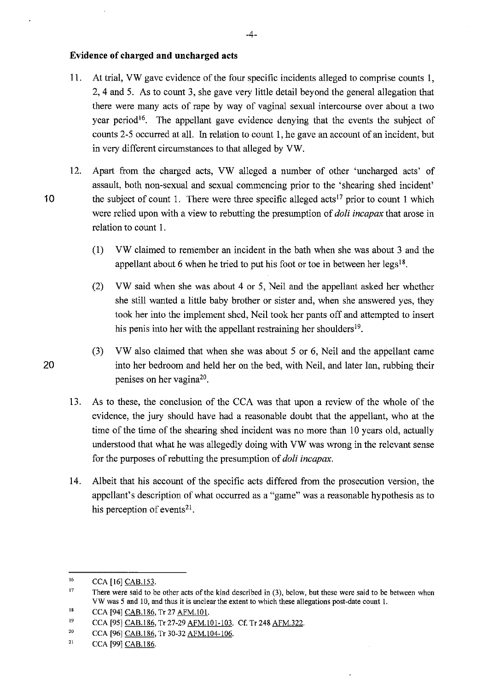### **Evidence of charged and uncharged acts**

- 11. At trial, VW gave evidence of the four specific incidents alleged to comprise counts 1, 2, 4 and 5. As to count 3, she gave very little detail beyond the general allegation that there were many acts of rape by way of vaginal sexual intercourse over about a two year period<sup>16</sup>. The appellant gave evidence denying that the events the subject of counts 2-5 occurred at all. In relation to count 1, he gave an account of an incident, but in very different circumstances to that alleged by VW.
- 12. Apart from the charged acts, VW alleged a number of other 'uncharged acts' of assault, both non-sexual and sexual commencing prior to the 'shearing shed incident' 10 the subject of count 1. There were three specific alleged acts<sup> $17$ </sup> prior to count 1 which were relied upon with a view to rebutting the presumption of *doli incapax* that arose in relation to count 1.
	- (1) VW claimed to remember an incident in the bath when she was about 3 and the appellant about 6 when he tried to put his foot or toe in between her  $legs<sup>18</sup>$ .
	- (2) VW said when she was about 4 or 5, Neil and the appellant asked her whether she still wanted a little baby brother or sister and, when she answered yes, they took her into the implement shed, Neil took her pants off and attempted to insert his penis into her with the appellant restraining her shoulders  $19$ .
- (3) VW also claimed that when she was about 5 or 6, Neil and the appellant came 20 into her bedroom and held her on the bed, with Neil, and later Ian, rubbing their penises on her vagina<sup>20</sup>.
	- 13. As to these, the conclusion of the CCA was that upon a review of the whole of the evidence, the jury should have had a reasonable doubt that the appellant, who at the time of the time of the shearing shed incident was no more than 10 years old, actually understood that what he was allegedly doing with VW was wrong in the relevant sense for the purposes of rebutting the presumption of *doli incapax.*
	- 14. Albeit that his account of the specific acts differed from the prosecution version, the appellant's description of what occurred as a "game" was a reasonable hypothesis as to his perception of events $21$ .

-4-

<sup>16</sup>  CCA [16] CAB.153.

<sup>17</sup>  There were said to be other acts of the kind described in (3), below, but these were said to be between when **VW was** *5* **and 10, and thus it is unclear the extent to which these allegations post-date count 1.** 

<sup>18</sup>  CCA [94] CAB.186, Tr 27 AFM.101.

<sup>19</sup>  CCA [95] CAB.186, Tr 27-29 AFM.101-103. Cf. Tr 248 AFM.322.

<sup>20</sup>  CCA [96] CAB.186, Tr 30-32 AFM.104-106.

<sup>21</sup>  CCA [99] CAB.186.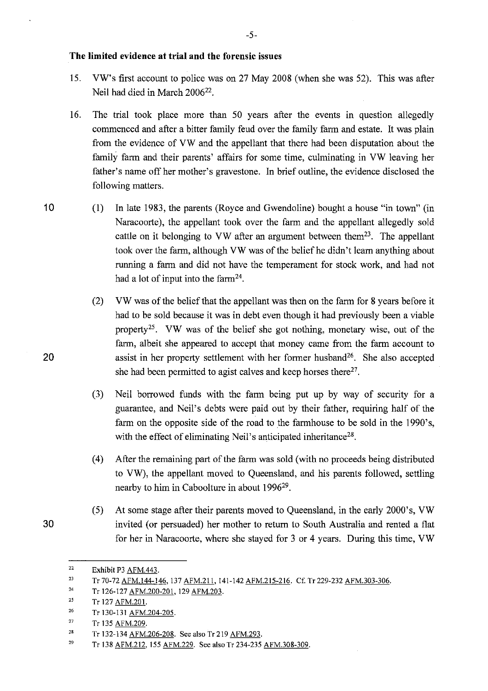### **The limited evidence at trial and the forensic issues**

- 15. VW's first account to police was on 27 May 2008 (when she was 52). This was after Neil had died in March 200622.
- 16. The trial took place more than 50 years after the events in question allegedly commenced and after a bitter family feud over the family farm and estate. It was plain from the evidence of VW and the appellant that there had been disputation about the family farm and their parents' affairs for some time, culminating in VW leaving her father's name off her mother's gravestone. In brief outline, the evidence disclosed the following matters.
- 10 (1) In late 1983, the parents (Royce and Gwendoline) bought a house "in town" (in Naracoorte), the appellant took over the farm and the appellant allegedly sold cattle on it belonging to VW after an argument between them<sup>23</sup>. The appellant took over the farm, although VW was of the belief he didn't learn anything about running a farm and did not have the temperament for stock work, and had not had a lot of input into the farm $24$ .
	- (2) VW was of the belief that the appellant was then on the farm for 8 years before it had to be sold because it was in debt even though it had previously been a viable property<sup>25</sup>. VW was of the belief she got nothing, monetary wise, out of the farm, albeit she appeared to accept that money came from the farm account to assist in her property settlement with her former husband<sup>26</sup>. She also accepted she had been permitted to agist calves and keep horses there $27$ .
	- (3) Neil borrowed funds with the farm being put up by way of security for a guarantee, and Neil's debts were paid out by their father, requiring half of the farm on the opposite side of the road to the farmhouse to be sold in the 1990's, with the effect of eliminating Neil's anticipated inheritance<sup>28</sup>.
	- (4) After the remaining part of the farm was sold (with no proceeds being distributed to VW), the appellant moved to Queensland, and his parents followed, settling nearby to him in Caboolture in about 1996<sup>29</sup>.
- (5) At some stage after their parents moved to Queensland, in the early 2000's, VW 30 invited ( or persuaded) her mother to return to South Australia and rented a flat for her in Naracoorte, where she stayed for 3 or 4 years. During this time, VW

<sup>22</sup>  Exhibit P3 AFM.443.

<sup>23</sup>  Tr 70-72 AFM.144-146, 137 AFM.211, 141-142 AFM.215-216. Cf. Tr 229-232 AFM.303-306.

<sup>24</sup>  Tr 126-127 AFM.200-201, 129 AFM.203.

<sup>25</sup>  Tr 127 AFM.201.

<sup>26</sup>  Tr 130-131 AFM.204-205.

<sup>27</sup>  Tr 135 AFM.209.

<sup>28</sup>  Tr 132-134 AFM.206-208. See also Tr 219 AFM.293.

<sup>29</sup>  Tr 138 AFM.212, 155 AFM.229. See also Tr 234-235 AFM.308-309.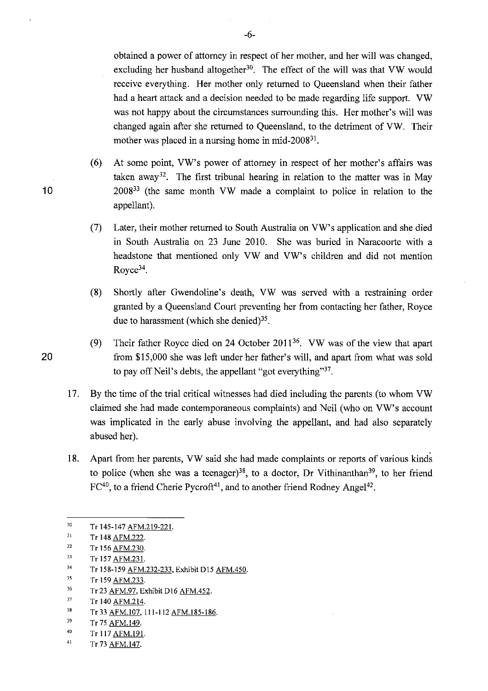obtained a power of attorney in respect of her mother, and her will was changed, excluding her husband altogether<sup>30</sup>. The effect of the will was that VW would receive everything. Her mother only returned to Queensland when their father had a heart attack and a decision needed to be made regarding life support. VW was not happy about the circumstances surrounding this. Her mother's will was changed again after she returned to Queensland, to the detriment of VW. Their mother was placed in a nursing home in mid- $2008^{31}$ .

- (6) At some point, VW's power of attorney in respect of her mother's affairs was taken away<sup>32</sup>. The first tribunal hearing in relation to the matter was in May 10 200833 (the same month VW made a complaint to police in relation to the appellant).
	- (7) Later, their mother returned to South Australia on VW's application and she died in South Australia on 23 June 2010. She was buried in Naracoorte with a headstone that mentioned only VW and VW's children and did not mention Royce<sup>34</sup>.
	- (8) Shortly after Gwendoline's death, VW was served with a restraining order granted by a Queensland Court preventing her from contacting her father, Royce due to harassment (which she denied) $35$ .
- (9) Their father Royce died on 24 October 2011<sup>36</sup>. VW was of the view that apart 20 from \$15,000 she was left under her father's will, and apart from what was sold to pay off Neil's debts, the appellant "got everything"37.
	- 17. By the time of the trial critical witnesses had died including the parents (to whom VW claimed she had made contemporaneous complaints) and Neil (who on VW's account was implicated in the early abuse involving the appellant, and had also separately abused her).
	- 18. Apart from her parents, VW said she had made complaints or reports of various kinds to police (when she was a teenager)<sup>38</sup>, to a doctor, Dr Vithinanthan<sup>39</sup>, to her friend  $FC^{40}$ , to a friend Cherie Pycroft<sup>41</sup>, and to another friend Rodney Angel<sup>42</sup>.

41 Tr 73 AFM. 147.

<sup>30</sup>  Tr 145-147 AFM.219-221.

<sup>31</sup>  Tr 148 AFM.222.

<sup>32</sup>  33 Tr 156 AFM.230.

Tr 157 AFM.23 I.

<sup>34</sup>  Tr 158-159 AFM.232-233, Exhibit D15 AFM.450.

<sup>35</sup>  Tr 159 AFM.233.

<sup>36</sup>  Tr 23 AFM.97, Exhibit D16 AFM.452.

<sup>37</sup>  Tr 140 AFM.214.

<sup>38</sup>  Tr 33 AFM.107, 111-112 AFM.185-186.

<sup>39</sup>  Tr 75 AFM.149.

<sup>40</sup>  Tr 117 AFM.191.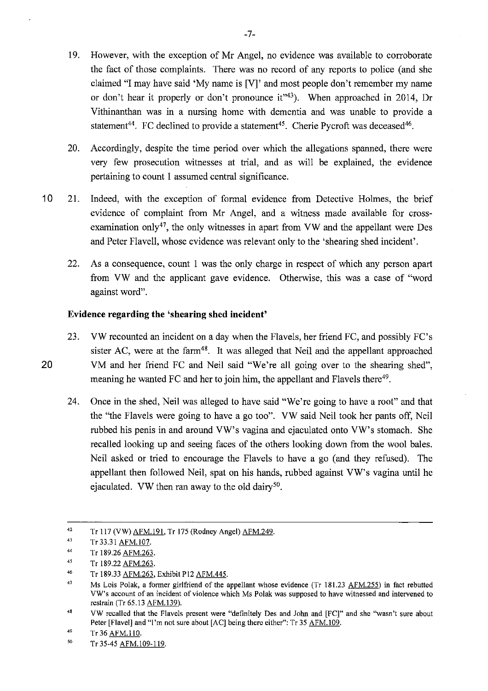- 19. However, with the exception of Mr Angel, no evidence was available to corroborate the fact of those complaints. There was no record of any reports to police (and she claimed "I may have said 'My name is [V]' and most people don't remember my name or don't hear it properly or don't pronounce it<sup>143</sup>). When approached in 2014, Dr Vithinanthan was in a nursing home with dementia and was unable to provide a statement<sup>44</sup>. FC declined to provide a statement<sup>45</sup>. Cherie Pycroft was deceased<sup>46</sup>.
- 20. Accordingly, despite the time period over which the allegations spanned, there were very few prosecution witnesses at trial, and as will be explained, the evidence pertaining to count 1 assumed central significance.
- 10 21. Indeed, with the exception of formal evidence from Detective Holmes, the brief evidence of complaint from Mr Angel, and a witness made available for crossexamination only<sup>47</sup>, the only witnesses in apart from VW and the appellant were Des and Peter Flavell, whose evidence was relevant only to the 'shearing shed incident'.
	- 22. As a consequence, count 1 was the only charge in respect of which any person apart from VW and the applicant gave evidence. Otherwise, this was a case of "word against word".

# **Evidence regarding the 'shearing shed incident'**

- 23. VW recounted an incident on a day when the Flavels, her friend FC, and possibly FC's sister AC, were at the farm<sup>48</sup>. It was alleged that Neil and the appellant approached 20 VM and her friend FC and Neil said "We're all going over to the shearing shed", meaning he wanted FC and her to join him, the appellant and Flavels there<sup>49</sup>.
	- 24. Once in the shed, Neil was alleged to have said "We're going to have a root" and that the "the Flavels were going to have a go too". VW said Neil took her pants off, Neil rubbed his penis in and around VW's vagina and ejaculated onto VW's stomach. She recalled looking up and seeing faces of the others looking down from the wool bales. Neil asked or tried to encourage the Flavels to have a go (and they refused). The appellant then followed Neil, spat on his hands, rubbed against VW's vagina until he ejaculated. VW then ran away to the old dairy<sup>50</sup>.

<sup>42</sup>  Tr 117 (VW) AFM.191, Tr 175 (Rodney Angel) AFM.249.

<sup>43</sup>  Tr 33.3 I AFM. 107.

<sup>44</sup>  Tr 189.26 AFM.263.

<sup>45</sup>  Tr 189.22 AFM.263.

<sup>46</sup>  Tr 189.33 AFM.263, Exhibit Pl2 AFM.445.

<sup>47</sup>  Ms Lois Polak, a former girlfriend of the appellant whose evidence (Tr 181.23 AFM.255) in fact rebutted VW's account of an incident of violence which Ms Polak was supposed to have witnessed and intervened to restrain (Tr 65. 13 AFM. 139).

<sup>48</sup>  VW recalled that the Flavels present were "definitely Des and John and [FC]" and she "wasn't sure about Peter [Flavel] and "I'm not sure about [AC] being there either": Tr 35 AFM.109.

<sup>49</sup>  Tr 36 AFM.110.

<sup>50</sup>  Tr 35-45 AFM.109-119.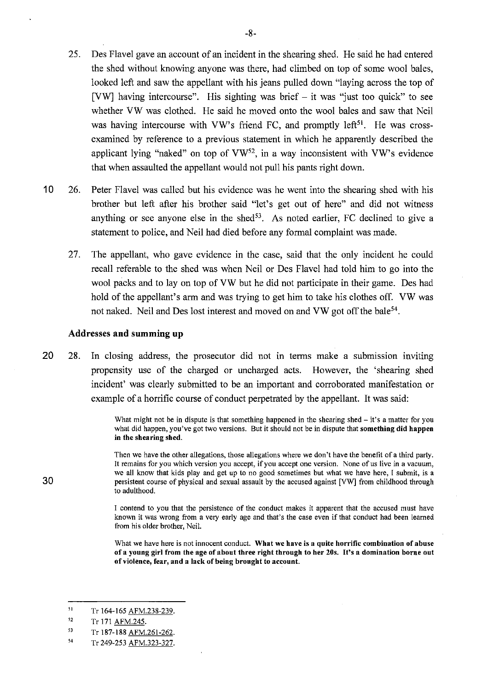- 25. Des Flavel gave an account of an incident in the shearing shed. He said he had entered the shed without knowing anyone was there, had climbed on top of some wool bales, looked left and saw the appellant with his jeans pulled down "laying across the top of [VW] having intercourse". His sighting was brief  $-$  it was "just too quick" to see whether VW was clothed. He said he moved onto the wool bales and saw that Neil was having intercourse with VW's friend FC, and promptly left<sup>51</sup>. He was crossexamined by reference to a previous statement in which he apparently described the applicant lying "naked" on top of  $VW^{52}$ , in a way inconsistent with VW's evidence that when assaulted the appellant would not pull his pants right down.
- 10 26. Peter Flavel was called but his evidence was he went into the shearing shed with his brother but left after his brother said "let's get out of here" and did not witness anything or see anyone else in the shed $5<sup>3</sup>$ . As noted earlier, FC declined to give a statement to police, and Neil had died before any formal complaint was made.
	- 27. The appellant, who gave evidence in the case, said that the only incident he could recall referable to the shed was when Neil or Des Flavel had told him to go into the wool packs and to lay on top of VW but he did not participate in their game. Des had hold of the appellant's arm and was trying to get him to take his clothes off. VW was not naked. Neil and Des lost interest and moved on and VW got off the bale<sup>54</sup>.

#### **Addresses and summing up**

20 28. In closing address, the prosecutor did not in terms make a submission inviting propensity use of the charged or uncharged acts. However, the 'shearing shed incident' was clearly submitted to be an important and corroborated manifestation or example of a horrific course of conduct perpetrated by the appellant. It was said:

> What might not be in dispute is that something happened in the shearing shed  $-$  it's a matter for you **what did happen, you've got two versions. But it should not be in dispute that something did happen in the shearing shed.**

> Then we have the other allegations, those allegations where we don't have the benefit of a third party. **It remains for you which version you accept, if you accept one version. None ofus live in a vacuum, we all know that kids play and get up to no good sometimes but what we have here, I submit, is a**  persistent course of physical and sexual assault by the accused against [VW] from childhood through to adulthood.

> **I contend to you that the persistence of the conduct makes it apparent that the accused must have known it was wrong from a very early age and that's the case even if that conduct had been learned**  from his older brother, Neil.

> **What we have here is not innocent conduct. What we have is a quite horrific combination of abuse of a young girl from the age of about three right through to her 20s. It's a domination borne out of violence, fear, and a lack of being brought to account.**

<sup>51</sup>  Tr 164-165 AFM.238-239.

<sup>52</sup>  Tr 171 AFM.245.

<sup>53</sup>  Tr 187-188 AFM.261-262.

<sup>54</sup>  Tr 249-253 AFM.323-327.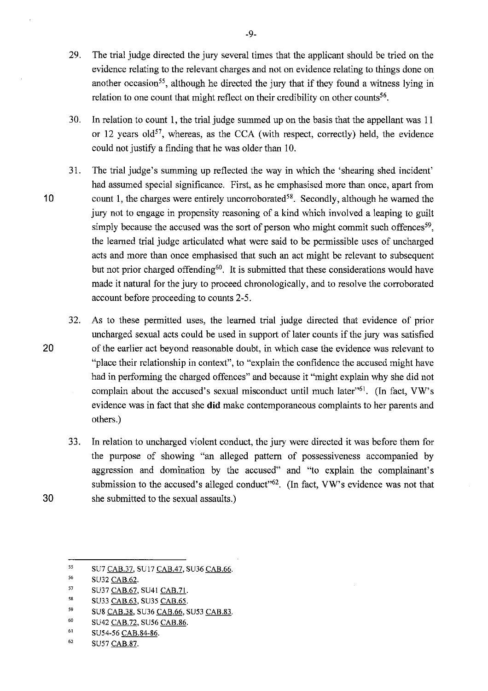- 29. The trial judge directed the jury several times that the applicant should be tried on the evidence relating to the relevant charges and not on evidence relating to things done on another occasion<sup>55</sup>, although he directed the jury that if they found a witness lying in relation to one count that might reflect on their credibility on other counts<sup>56</sup>.
- 30. In relation to count 1, the trial judge summed up on the basis that the appellant was 11 or 12 years old<sup>57</sup>, whereas, as the CCA (with respect, correctly) held, the evidence could not justify a finding that he was older than 10.
- 31. The trial judge's summing up reflected the way in which the 'shearing shed incident' had assumed special significance. First, as he emphasised more than once, apart from 10 count 1, the charges were entirely uncorroborated<sup>58</sup>. Secondly, although he warned the jury not to engage in propensity reasoning of a kind which involved a leaping to guilt simply because the accused was the sort of person who might commit such offences<sup>59</sup>, the learned trial judge articulated what were said to be permissible uses of uncharged acts and more than once emphasised that such an act might be relevant to subsequent but not prior charged offending<sup>60</sup>. It is submitted that these considerations would have made it natural for the jury to proceed chronologically, and to resolve the corroborated account before proceeding to counts 2-5.
- 32. As to these permitted uses, the learned trial judge directed that evidence of prior uncharged sexual acts could be used in support of later counts if the jury was satisfied **20** of the earlier act beyond reasonable doubt, in which case the evidence was relevant to "place their relationship in context", to "explain the confidence the accused might have had in performing the charged offences" and because it "might explain why she did not complain about the accused's sexual misconduct until much later<sup>"61</sup>. (In fact, VW's evidence was in fact that she **did** make contemporaneous complaints to her parents and others.)
- 33. In relation to uncharged violent conduct, the jury were directed it was before them for the purpose of showing "an alleged pattern of possessiveness accompanied by aggression and domination by the accused" and "to explain the complainant's submission to the accused's alleged conduct<sup>162</sup>. (In fact, VW's evidence was not that **30** she submitted to the sexual assaults.)

- 57 SU37 CAB.67, SU41 CAB.71.
- 58 SU33 CAB.63, SU35 CAB.65.
- 59 SU8 CAB.38, SU36 CAB.66, SU53 CAB.83.
- 60 SU42 CAB.72, SU56 CAB.86.
- 61 SU54-56 CAB.84-86.
- 62 SU57 CAB.87.

<sup>55</sup>  SU7 CAB.37, SU!7 CAB.47, SU36 CAB.66.

<sup>56</sup>  SU32 CAB.62.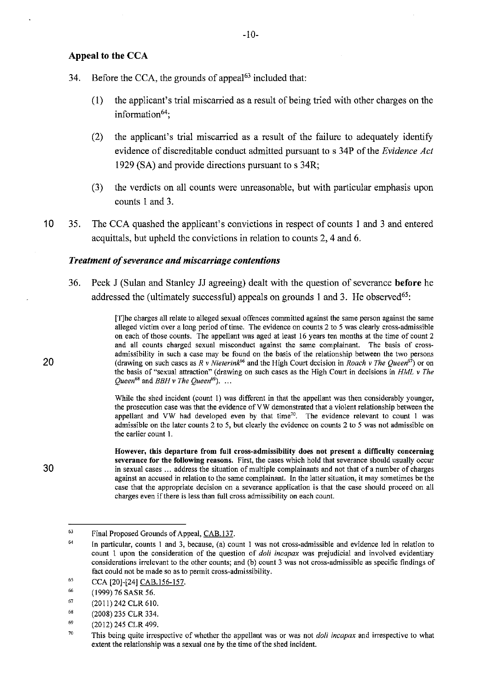#### **Appeal to the CCA**

- 34. Before the CCA, the grounds of appeal<sup> $63$ </sup> included that:
	- (1) the applicant's trial miscarried as a result of being tried with other charges on the information $64$ :

-10-

- (2) the applicant's trial miscarried as a result of the failure to adequately identify evidence of discreditable conduct admitted pursuant to s 34P of the *Evidence Act* 1929 (SA) and provide directions pursuant to s 34R;
- (3) the verdicts on all counts were unreasonable, but with particular emphasis upon counts 1 and 3.
- 10 35. The CCA quashed the applicant's convictions in respect of counts 1 and 3 and entered acquittals, but upheld the convictions in relation to counts 2, 4 and 6.

#### *Treatment of severance and miscarriage contentions*

36. Peek J (Sulan and Stanley JJ agreeing) dealt with the question of severance **before** he addressed the (ultimately successful) appeals on grounds 1 and 3. He observed<sup>65</sup>:

> [T]he charges all relate to alleged sexual offences committed against the same person against the same alleged victim over a long period of time. The evidence on counts 2 to 5 was clearly cross-admissible on each of those counts. The appellant was aged at least 16 years ten months at the time of count 2 and all counts charged sexual misconduct against the same complainant. The basis of crossadmissibility in such a case may be found on the basis of the relationship between the two persons (drawing on such cases as *R v Nieterink*<sup>66</sup> and the High Court decision in *Roach v The Queen*<sup>67</sup>) or on the basis of "sexual attraction" (drawing on such cases as the High Court in decisions in *HML* v *The Queen*<sup>68</sup> and *BBH v The Queen*<sup>69</sup>). ...

> While the shed incident (count 1) was different in that the appellant was then considerably younger, the prosecution case was that the evidence ofVW demonstrated that a violent relationship between the appellant and VW had developed even by that time<sup>70</sup>. The evidence relevant to count 1 was admissible on the later counts 2 to 5, but clearly the evidence on counts 2 to 5 was not admissible on the earlier count 1.

> However, this departure from full cross-admissibility does not present a difficulty concerning severance for the following reasons. First, the cases which hold that severance should usually occur in sexual cases ... address the situation of multiple complainants and not that of a number of charges against an accused in relation to the same complainant. In the latter situation, it may sometimes be the case that the appropriate decision on a severance application is that the case should proceed on all charges even if there is less than full cross admissibility on each count.

20

<sup>63</sup>  Final Proposed Grounds of Appeal, CAB.137.

<sup>64</sup>  In particular, counts 1 and 3, because, (a) count 1 was not cross-admissible and evidence led in relation to count 1 upon the consideration of the question of *doli incapax* was prejudicial and involved evidentiary considerations irrelevant to the other counts; and (b) count 3 was not cross-admissible as specific findings of fact could not be made so as to permit cross-admissibility.

<sup>65</sup>  CCA [20]-(24] CAB.156-157.

<sup>66</sup>  (1999) 76 SASR 56.

<sup>67</sup>  (2011) 242 CLR 610.

<sup>68</sup>  (2008) 235 CLR 334.

<sup>69</sup>  (2012) 245 CLR 499.

<sup>70</sup>  This being quite irrespective of whether the appellant was or was not *doli incapax* and irrespective to what extent the relationship was a sexual one by the time of the shed incident.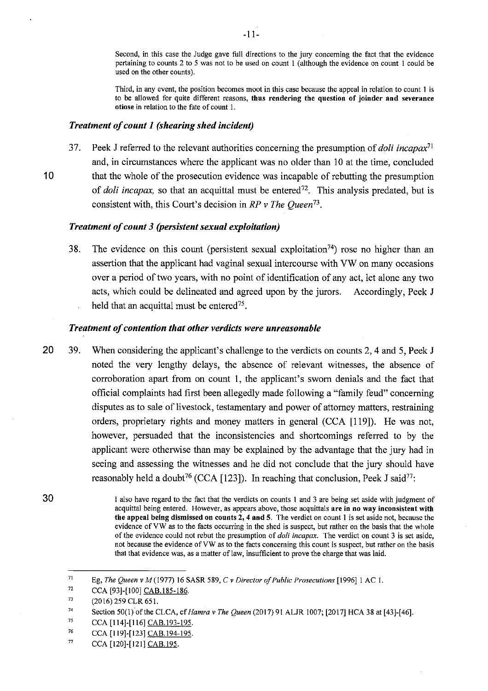Second, in this case the Judge gave full directions to the jury concerning the fact that the evidence pertaining to counts 2 to 5 was not to be used on count l (although the evidence on count 1 could be used on the other counts).

Third, in any event, the position becomes moot in this case because the appeal in relation to count 1 is to be allowed for quite different reasons, thus rendering the question of joinder and severance otiose in relation to the fate of count I.

#### *Treatment of count 1 (shearing shed incident)*

37. Peek J referred to the relevant authorities concerning the presumption of *doli incapax*<sup>71</sup> and, in circumstances where the applicant was no older than IO at the time, concluded **10** that the whole of the prosecution evidence was incapable of rebutting the presumption of *doli incapax*, so that an acquittal must be entered<sup>72</sup>. This analysis predated, but is consistent with, this Court's decision in *RP* v *The Queen* 73.

### *Treatment of count 3 (persistent sexual exploitation)*

38. The evidence on this count (persistent sexual exploitation<sup>74</sup>) rose no higher than an assertion that the applicant had vaginal sexual intercourse with VW on many occasions over a period of two years, with no point of identification of any act, let alone any two acts, which could be delineated and agreed upon by the jurors. Accordingly, Peek J held that an acquittal must be entered<sup>75</sup>.

### *Treatment of contention that other verdicts were unreasonable*

20 39. When considering the applicant's challenge to the verdicts on counts 2, 4 and 5, Peek J noted the very lengthy delays, the absence of relevant witnesses, the absence of corroboration apart from on count 1, the applicant's sworn denials and the fact that official complaints had first been allegedly made following a "family feud" concerning disputes as to sale of livestock, testamentary and power of attorney matters, restraining orders, proprietary rights and money matters in general (CCA [119]). He was not, however, persuaded that the inconsistencies and shortcomings referred to by the applicant were otherwise than may be explained by the advantage that the jury had in seeing and assessing the witnesses and he did not conclude that the jury should have reasonably held a doubt<sup>76</sup> (CCA [123]). In reaching that conclusion, Peek J said<sup>77</sup>:

**30** 

77 CCA [120]-[121] CAB.195.

I also have regard to the fact that the verdicts on counts I and 3 are being set aside with judgment of acquittal being entered. However, as appears above, those acquittals are in no way inconsistent with the appeal being dismissed on counts 2, 4 and 5. The verdict on count 1 is set aside not, because the evidence of VW as to the facts occurring in the shed is suspect, but rather on the basis that the whole of the evidence could not rebut the presumption of *doli incapax.* The verdict on count 3 is set aside, not because the evidence of VW as to the facts concerning this count is suspect, but rather on the basis that that evidence was, as a matter of law, insufficient to prove the charge that was laid.

<sup>71</sup>  Eg, *The Queen v M* (1977) 16 SASR 589, C *v Director of Public Prosecutions* [1996] 1 AC I.

<sup>72</sup>  CCA [93]-[100] CAB.185-186.

<sup>73</sup>  (2016) 259 CLR 65 I.

<sup>74</sup>  Section 50(1) of the CLCA, cf *Hamra v The Queen* (2017) 91 ALJR 1007; [2017] HCA 38 at [43]-[46].

<sup>75</sup>  CCA [114]-[116] CAB.193-195.

<sup>76</sup>  CCA [119]-[123] CAB.194-195.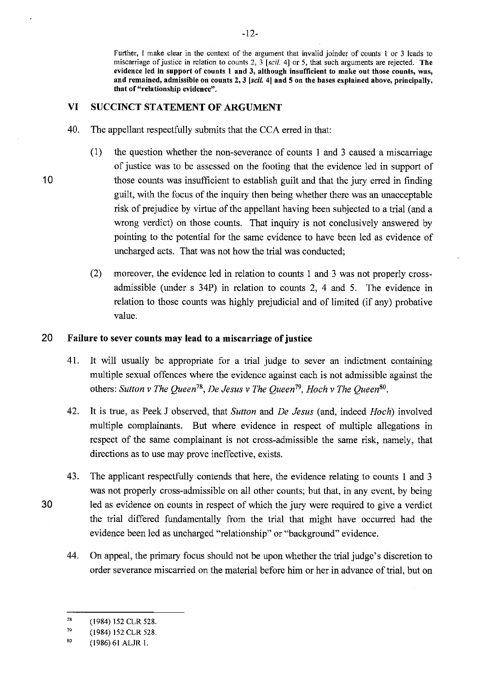**Further, I make clear in the context of the argument that invalid joinder of counts 1 or 3 leads to miscarriage of justice in relation to counts 2, 3 [scil. 4] or 5, that such arguments are rejected. The evidence led in support of counts 1 and 3, although insufficient to make out those counts, was, and remained, admissible on counts 2, 3** *[scil.* **4] and 5 on the bases explained above, principally, that of "relationship evidence".** 

# **VI SUCCINCT STATEMENT OF ARGUMENT**

- 40. The appellant respectfully submits that the CCA erred in that:
- (1) the question whether the non-severance of counts 1 and 3 caused a miscarriage of justice was to be assessed on the footing that the evidence led in support of 10 those counts was insufficient to establish guilt and that the jury erred in finding guilt, with the focus of the inquiry then being whether there was an unacceptable risk of prejudice by virtue of the appellant having been subjected to a trial ( and a wrong verdict) on those counts. That inquiry is not conclusively answered by pointing to the potential for the same evidence to have been led as evidence of uncharged acts. That was not how the trial was conducted;
	- (2) moreover, the evidence led in relation to counts 1 and 3 was not properly crossadmissible (under s 34P) in relation to counts 2, 4 and 5. The evidence in relation to those counts was highly prejudicial and of limited (if any) probative value.

# **20 Failure to sever counts may lead to a miscarriage of justice**

- 41. It will usually be appropriate for a trial judge to sever an indictment containing multiple sexual offences where the evidence against each is not admissible against the others: *Sutton v The Queen78 , De Jesus v The Queen 19, Hoch v The Queen80•*
- 42. It is true, as Peek J observed, that *Sutton* and *De Jesus* (and, indeed *Hoch)* involved multiple complainants. But where evidence in respect of multiple allegations in respect of the same complainant is not cross-admissible the same risk, namely, that directions as to use may prove ineffective, exists.
- 43. The applicant respectfully contends that here, the evidence relating to counts 1 and 3 was not properly cross-admissible on all other counts; but that, in any event, by being **30** led as evidence on counts in respect of which the jury were required to give a verdict the trial differed fundamentally from the trial that might have occurred had the evidence been led as uncharged "relationship" or "background" evidence.
	- 44. On appeal, the primary focus should not be upon whether the trial judge's discretion to order severance miscarried on the material before him or her in advance of trial, but on

<sup>78</sup>  (1984) 152 CLR 528.

<sup>79</sup>  (1984) 152 CLR 528.

<sup>80</sup>  (1986)61 ALJR I.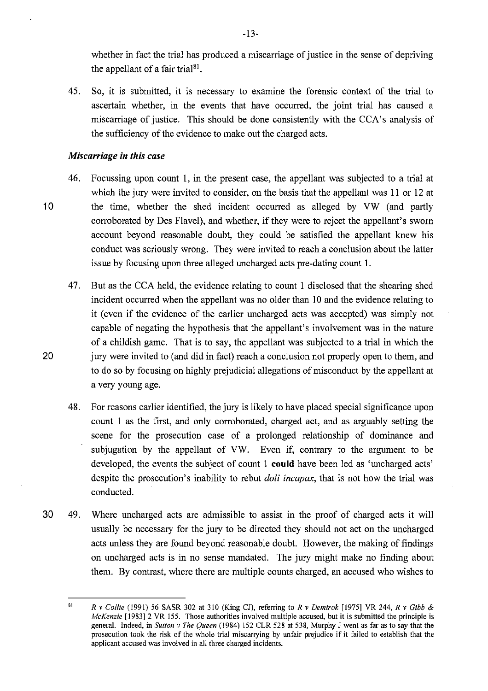whether in fact the trial has produced a miscarriage of justice in the sense of depriving the appellant of a fair trial<sup>81</sup>.

45. So, it is submitted, it is necessary to examine the forensic context of the trial to ascertain whether, in the events that have occurred, the joint trial has caused a miscarriage of justice. This should be done consistently with the CCA's analysis of the sufficiency of the evidence to make out the charged acts.

### *Miscarriage in this case*

- 46. Focussing upon count I, in the present case, the appellant was subjected to a trial at which the jury were invited to consider, on the basis that the appellant was 11 or 12 at 10 the time, whether the shed incident occurred as alleged by VW (and partly corroborated by Des Flavel), and whether, if they were to reject the appellant's sworn account beyond reasonable doubt, they could be satisfied the appellant knew his conduct was seriously wrong. They were invited to reach a conclusion about the latter issue by focusing upon three alleged uncharged acts pre-dating count I.
- 47. But as the CCA held, the evidence relating to count I disclosed that the shearing shed incident occurred when the appellant was no older than IO and the evidence relating to it (even if the evidence of the earlier uncharged acts was accepted) was simply not capable of negating the hypothesis that the appellant's involvement was in the nature of a childish game. That is to say, the appellant was subjected to a trial in which the 20 jury were invited to (and did in fact) reach a conclusion not properly open to them, and to do so by focusing on highly prejudicial allegations of misconduct by the appellant at a very young age.
	- 48. For reasons earlier identified, the jury is likely to have placed special significance upon count l as the first, and only corroborated, charged act, and as arguably setting the scene for the prosecution case of a prolonged relationship of dominance and subjugation by the appellant of VW. Even if, contrary to the argument to be developed, the events the subject of count I **could** have been led as 'uncharged acts' despite the prosecution's inability to rebut *doli incapax,* that is not how the trial was conducted.
- **30** 49. Where uncharged acts are admissible to assist in the proof of charged acts it will usually be necessary for the jury to be directed they should not act on the uncharged acts unless they are found beyond reasonable doubt. However, the making of findings on uncharged acts is in no sense mandated. The jury might make no finding about them. By contrast, where there are multiple counts charged, an accused who wishes to

-13-

<sup>81</sup>  *R v Collie* (1991) 56 SASR 302 at 310 (King CJ), referring to *R v Demirok* [1975] VR 244, *R v Gibb* & *McKenzie* [1983] 2 VR 155. Those authorities involved multiple accused, but it is submitted the principle is general. Indeed, in *Sutton v The Queen* (1984) 152 CLR 528 at 538, Murphy J went as far as to say that the prosecution took the risk of the whole trial miscarrying by unfair prejudice if it failed to establish that the **applicant accused was involved in all three charged incidents.**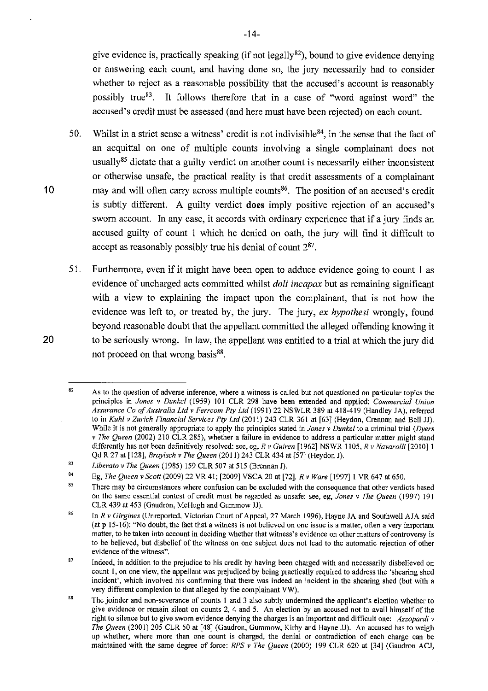give evidence is, practically speaking (if not legally<sup>82</sup>), bound to give evidence denying or answering each count, and having done so, the jury necessarily had to consider whether to reject as a reasonable possibility that the accused's account is reasonably possibly true<sup>83</sup>. It follows therefore that in a case of "word against word" the accused's credit must be assessed (and here must have been rejected) on each count.

- 50. Whilst in a strict sense a witness' credit is not indivisible  $84$ , in the sense that the fact of an acquittal on one of multiple counts involving a single complainant does not usually<sup>85</sup> dictate that a guilty verdict on another count is necessarily either inconsistent or otherwise unsafe, the practical reality is that credit assessments of a complainant may and will often carry across multiple counts<sup>86</sup>. The position of an accused's credit is subtly different. A guilty verdict **does** imply positive rejection of an accused's sworn account. In any case, it accords with ordinary experience that if a jury finds an accused guilty of count 1 which he denied on oath, the jury will find it difficult to accept as reasonably possibly true his denial of count  $2^{87}$ .
- 51. Furthermore, even if it might have been open to adduce evidence going to count 1 as evidence of uncharged acts committed whilst *doli incapax* but as remaining significant with a view to explaining the impact upon the complainant, that is not how the evidence was left to, or treated by, the jury. The jury, *ex hypothesi* wrongly, found beyond reasonable doubt that the appellant committed the alleged offending knowing it to be seriously wrong. In law, the appellant was entitled to a trial at which the jury did not proceed on that wrong basis<sup>88</sup>.

**10** 

<sup>82</sup>  **As to the question of adverse inference, where a witness is called but not questioned on particular topics the**  principles in *Jones v Dunkel* (1959) 101 CLR 298 have been extended and applied: *Commercial Union Assurance Co of Australia Ltd v Ferrcom Pty ltd* (1991) 22 NS WLR 389 at 418-419 (Handley JA), referred to in *Kuhl v Zurich Financial Services Pty Ltd* (2011) 243 CLR 361 at [63] (Heydon, Crennan and Bell JJ). **While it is not generally appropriate to apply the principles stated in** *Jones v Dunkel* **to a criminal trial** *(Dyers v The Queen* (2002) 210 CLR 285), whether a failure in evidence to address a particular matter might stand differently has not been definitively resolved: see, eg, *R v Guiren* [1962] NSWR l 105, *R v Navaro/Ii* [20IO] 1 Qd R 27 at [128], *Brayisch v The Queen* (2011) 243 CLR 434 at [57] (Heydon J).

<sup>83</sup>  *Liberato v The Queen* (1985) 159 CLR 507 at 515 (Brennan J).

<sup>84</sup>  Eg, *The Queen v Scott* (2009) 22 VR 41; [2009] VSCA 20 at [72], *R v Wore* [1997] 1 VR 647 at 650.

<sup>85</sup>  **There may be circumstances where confusion can be excluded with the consequence that other verdicts based on the same essential contest of credit must be regarded as unsafe: see, eg,** *Jones v The Queen* **(1997) 191**  CLR 439 at 453 (Gaudron, McHugh and Gummow JJ).

<sup>86</sup>  In *R v Girgines* (Unreported, Victorian Court of Appeal, 27 March 1996), Hayne JA and Southwell AJA said **(at p 15-16): "No doubt, the fact that a witness is not believed on one issue is a matter, often a very important matter, to be taken into account in deciding whether that witness's evidence on other matters of controversy is to be believed, but disbelief of the witness on one subject does not lead to the automatic rejection of other evidence of the witness".** 

<sup>87</sup>  Indeed, in addition to the prejudice to his credit by having been charged with and necessarily disbelieved on **count 1, on one view, the appellant was prejudiced by being practically required to address the 'shearing shed incident', which involved his confinning that there was indeed an incident in the shearing shed (but with a**  very different complexion to that alleged by the complainant VW).

<sup>88</sup>  **The joinder and non-severance of counts 1 and 3 also subtly undennined the applicant's election whether to give evidence or remain silent on counts 2, 4 and 5. An election by an accused not to avail himself of the right to silence but to give sworn evidence denying the charges is an important and difficult one: Azzopardi v**  *The Queen* (2001) 205 CLR 50 at [48] (Gaudron, Gummow, Kirby and Hayne JJ). An accused has to weigh **up whether, where more than one count is charged, the denial or contradiction of each charge can be**  maintained with the same degree of force: *RPS v The Queen* (2000) 199 CLR 620 at [34] (Gaudron ACJ,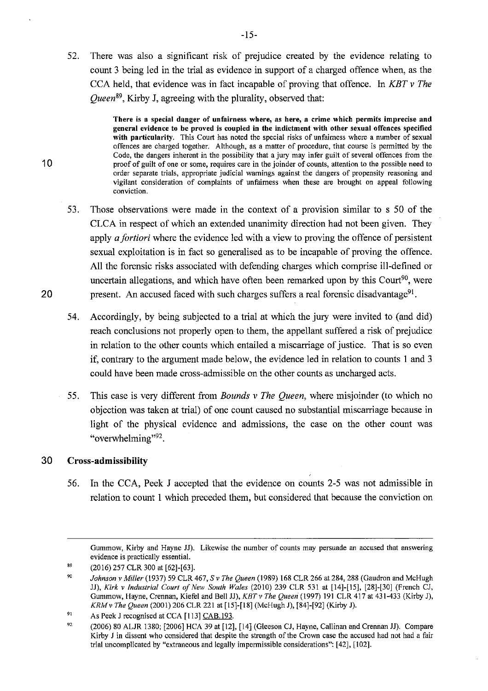52. There was also a significant risk of prejudice created by the evidence relating to count 3 being led in the trial as evidence in support of a charged offence when, as the CCA held, that evidence was in fact incapable of proving that offence. In *KBT v The Queen89,* Kirby J, agreeing with the plurality, observed that:

> **There is a special danger of unfairness where, as here, a crime which permits imprecise and general evidence to be proved is coupled in the indictment with other sexual offences specified with particularity. This Court has noted the special risks of unfairness where a number of sexual offences are charged together. Although, as a matter of procedure, that course is permitted by the Code, the dangers inherent in the possibility that a jury may infer guilt of several offences from the proof of guilt of one or some, requires care in the joinder of counts, attention to the possible need to order separate trials, appropriate judicial warnings against the dangers of propensity reasoning and vigilant consideration of complaints of unfairness when these are brought on appeal following conviction.**

- 53. Those observations were made in the context of a provision similar to s 50 of the CLCA in respect of which an extended unanimity direction had not been given. They apply *a fortiori* where the evidence led with a view to proving the offence of persistent sexual exploitation is in fact so generalised as to be incapable of proving the offence. All the forensic risks associated with defending charges which comprise ill-defined or uncertain allegations, and which have often been remarked upon by this Court<sup>90</sup>, were 20 **b** present. An accused faced with such charges suffers a real forensic disadvantage<sup>91</sup>.
	- 54. Accordingly, by being subjected to a trial at which the jury were invited to (and did) reach conclusions not properly open to them, the appellant suffered a risk of prejudice **in** relation to the other counts which entailed a miscarriage of justice. That is so even if, contrary to the argument made below, the evidence led in relation to counts I and 3 could have been made cross-admissible on the other counts as uncharged acts.
	- 55. This case is very different from *Bounds v The Queen,* where misjoinder (to which no objection was taken at trial) of one count caused no substantial miscarriage because in light of the physical evidence and admissions, the case on the other count was "overwhelming"<sup>92</sup>.

## 30 **Cross-admissibility**

10

56. In the CCA, Peek J accepted that the evidence on counts 2-5 was not admissible in relation to count 1 which preceded them, but considered that because the conviction on

**Gummow, Kirby and Hayne JJ). Likewise the number of counts may persuade an accused that answering evidence is practically essential.** 

<sup>89</sup>  (2016) 257 CLR 300 at [62]-[63].

<sup>90</sup>  *Johnson v Miller* (1937) *59* CLR 467, S *v The Queen* (1989) 168 CLR 266 at 284, 288 (Gaudron and McHugh JJ), *Kirk v Industrial Court of New South Wales* (2010) 239 CLR 531 at [14]-[15], [28]-[30] (French CJ, Gummow, Hayne, Crennan, Kiefel and Bell JJ), *KBTv The Queen* (1997) 191 CLR 417 at 431-433 (Kirby J), *KRMv The Queen* (2001) 206 CLR 221 at [15]-[18] (McHugh J), [84]-[92] (Kirby J).

<sup>91</sup>  As Peek J recognised at CCA [113] CAB.193.

<sup>92</sup>  (2006) 80 ALJR 1380; [2006] HCA 39 at [12], [14] (Gleeson CJ, Hayne, Callinan and Crennan JJ). Compare Kirby J in dissent who considered that despite the strength of the Crown case the accused had not had a fair trial uncomplicated by "extraneous and legally impermissible considerations": [42], [102].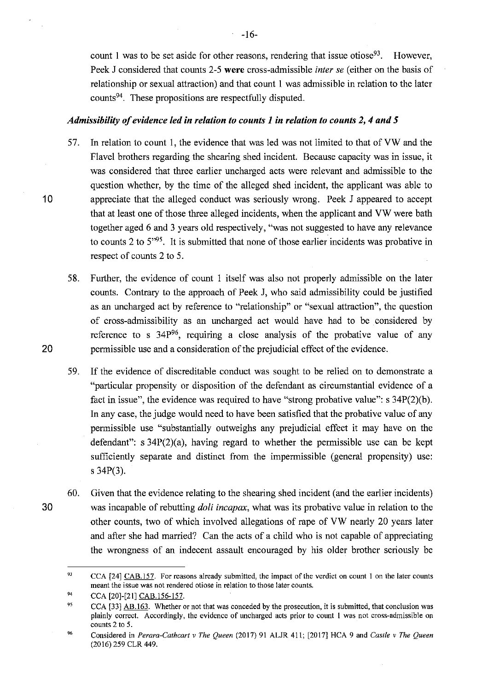count 1 was to be set aside for other reasons, rendering that issue otiose<sup>93</sup>. However, Peek J considered that counts 2-5 **were** cross-admissible *inter se* ( either on the basis of relationship or sexual attraction) and that count I was admissible in relation to the later counts94. These propositions are respectfully disputed.

### *Admissibility of evidence led in relation to counts 1 in relation to counts 2, 4 and 5*

- 57. In relation to count 1, the evidence that was led was not limited to that of VW and the Flavel brothers regarding the shearing shed incident. Because capacity was in issue, it was considered that three earlier uncharged acts were relevant and admissible to the question whether, by the time of the alleged shed incident, the applicant was able to **10** appreciate that the alleged conduct was seriously wrong. Peek J appeared to accept that at least one of those three alleged incidents, when the applicant and VW were bath together aged 6 and 3 years old respectively, "was not suggested to have any relevance to counts 2 to  $5^{95}$ . It is submitted that none of those earlier incidents was probative in respect of counts 2 to 5.
- 58. Further, the evidence of count I itself was also not properly admissible on the later counts. Contrary to the approach of Peek J, who said admissibility could be justified as an uncharged act by reference to "relationship" or "sexual attraction", the question of cross-admissibility as an uncharged act would have had to be considered by reference to s  $34P^{96}$ , requiring a close analysis of the probative value of any **20** permissible use and a consideration of the prejudicial effect of the evidence.
	- 59. If the evidence of discreditable conduct was sought to be relied on to demonstrate a "particular propensity or disposition of the defendant as circumstantial evidence of a fact in issue", the evidence was required to have "strong probative value": s 34P(2)(b). In any case, the judge would need to have been satisfied that the probative value of any permissible use "substantially outweighs any prejudicial effect it may have on the defendant":  $s$  34P(2)(a), having regard to whether the permissible use can be kept sufficiently separate and distinct from the impermissible (general propensity) use: s 34P(3).
- 60. Given that the evidence relating to the shearing shed incident (and the earlier incidents) 30 was incapable of rebutting *doli incapax,* what was its probative value in relation to the other counts, two of which involved allegations of rape of VW nearly 20 years later and after she had married? Can the acts of a child who is not capable of appreciating the wrongness of an indecent assault encouraged by his older brother seriously be

<sup>93</sup>  CCA (24] CAB.157. For reasons already submitted, the impact of the verdict on count 1 on the later counts **meant the issue was not rendered otiose in relation to those later counts.** 

<sup>94</sup>  CCA [20]-(21] CAB.156-157.

<sup>95</sup>  CCA (33] AB.163. Whether or not that was conceded by the prosecution, it is submitted, that conclusion was **plainly correct. Accordingly, the evidence of uncharged acts prior to count 1 was not cross-admissible on counts 2 to 5.** 

<sup>96</sup>  Considered in *Perara-Cathcart v The Queen* (2017) 91 ALJR 411; (2017] HCA 9 and *Castle v The Queen*  (2016) 259 CLR 449.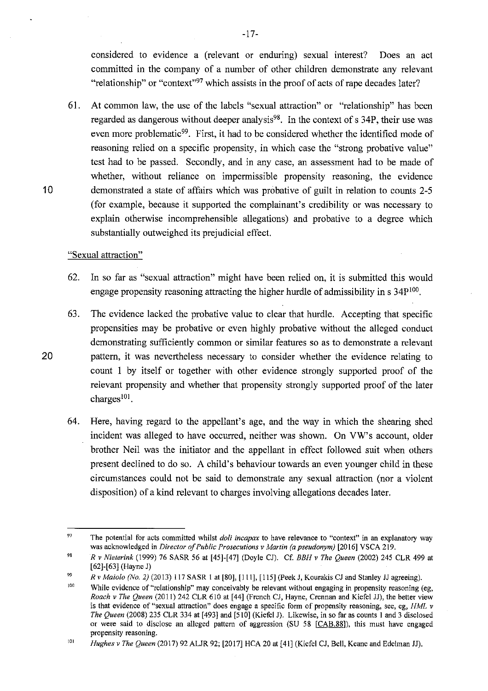considered to evidence a (relevant or enduring) sexual interest? Does an act committed in the company of a number of other children demonstrate any relevant "relationship" or "context"<sup>97</sup> which assists in the proof of acts of rape decades later?

61. At common law, the use of the labels "sexual attraction" or "relationship" has been regarded as dangerous without deeper analysis $98$ . In the context of s 34P, their use was even more problematic<sup>99</sup>. First, it had to be considered whether the identified mode of reasoning relied on a specific propensity, in which case the "strong probative value" test had to be passed. Secondly, and in any case, an assessment had to be made of whether, without reliance on impermissible propensity reasoning, the evidence 10 demonstrated a state of affairs which was probative of guilt in relation to counts 2-5 (for example, because it supported the complainant's credibility or was necessary to explain otherwise incomprehensible allegations) and probative to a degree which substantially outweighed its prejudicial effect.

### "Sexual attraction"

- 62. In so far as "sexual attraction" might have been relied on, it is submitted this would engage propensity reasoning attracting the higher hurdle of admissibility in  $s$  34 $P^{100}$ .
- 63. The evidence lacked the probative value to clear that hurdle. Accepting that specific propensities may be probative or even highly probative without the alleged conduct demonstrating sufficiently common or similar features so as to demonstrate a relevant 20 pattern, it was nevertheless necessary to consider whether the evidence relating to count I by itself or together with other evidence strongly supported proof of the relevant propensity and whether that propensity strongly supported proof of the later charges $^{101}$ .
	- 64. Here, having regard to the appellant's age, and the way in which the shearing shed incident was alleged to have occurred, neither was shown. On VW's account, older brother Neil was the initiator and the appellant in effect followed suit when others present declined to do so. A child's behaviour towards an even younger child in these circumstances could not be said to demonstrate any sexual attraction (nor a violent disposition) of a kind relevant to charges involving allegations decades later.

-17-

<sup>97</sup>  **The potential for acts committed whilst** *doli incapax* **to have relevance to "context" in an explanatory way**  was acknowledged in *Director of Public Prosecutions v Martin (a pseudonym)* [2016] VSCA 219.

<sup>98</sup>  *R v Nieterink* (1999) 76 SASR 56 at [45]-[47] (Doyle CJ). Cf. *BBH v The Queen* (2002) 245 CLR 499 at [62]-[63] (Hayne J)

<sup>99</sup>  *R v Maiolo (No. 2)* (2013) 117 SASR l at [80], [111], [I 15] (Peek J, Kourakis CJ and Stanley JJ agreeing).

JOO While evidence of "relationship" may conceivably be relevant without engaging in propensity reasoning (eg, *Roach v The Queen (2011) 242 CLR 610 at [44] (French CJ, Hayne, Crennan and Kiefel JJ), the better view* is that evidence of "sexual attraction" does engage a specific form of propensity reasoning, see, eg, *HML*  $\nu$ *The Queen* (2008) 235 CLR 334 at [493] and [510] (Kiefel J). Likewise, in so far as counts I and 3 disclosed or were said to disclose an alleged pattern of aggression (SU 58 [CAB.88]), this must have engaged **propensity reasoning.** 

<sup>101</sup>  *Hughes v The Queen* (2017) 92 ALJR 92; [2017] HCA 20 at [ 41] (Kiefel CJ, Bell, Keane and Edelman JJ).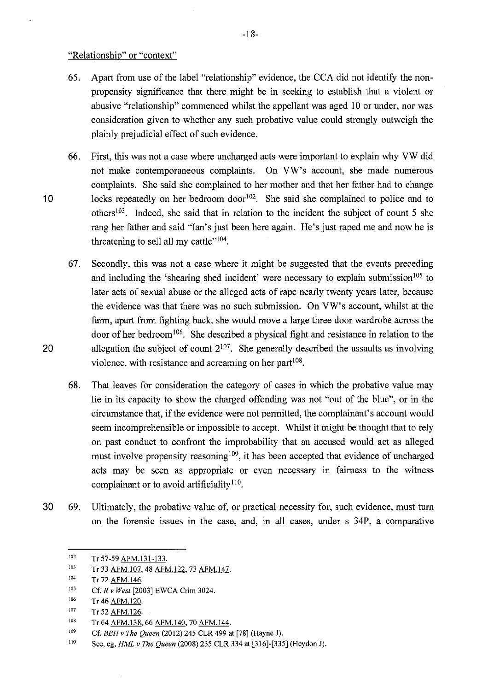"Relationship" or "context"

- 65. Apart from use of the label "relationship" evidence, the CCA did not identify the nonpropensity significance that there might be in seeking to establish that a violent or abusive "relationship" commenced whilst the appellant was aged 10 or under, nor was consideration given to whether any such probative value could strongly outweigh the plainly prejudicial effect of such evidence.
- 66. First, this was not a case where uncharged acts were important to explain why VW did not make contemporaneous complaints. On VW's account, she made numerous complaints. She said she complained to her mother and that her father had to change 10 locks repeatedly on her bedroom door  $102$ . She said she complained to police and to others<sup>103</sup>. Indeed, she said that in relation to the incident the subject of count 5 she rang her father and said "Ian's just been here again. He's just raped me and now he is threatening to sell all my cattle $"104$ .
- 67. Secondly, this was not a case where it might be suggested that the events preceding and including the 'shearing shed incident' were necessary to explain submission<sup>105</sup> to later acts of sexual abuse or the alleged acts of rape nearly twenty years later, because the evidence was that there was no such submission. On VW's account, whilst at the farm, apart from fighting back, she would move a large three door wardrobe across the door of her bedroom<sup>106</sup>. She described a physical fight and resistance in relation to the 20 allegation the subject of count  $2^{107}$ . She generally described the assaults as involving violence, with resistance and screaming on her part $108$ .
	- 68. That leaves for consideration the category of cases in which the probative value may lie in its capacity to show the charged offending was not "out of the blue", or in the circumstance that, if the evidence were not permitted, the complainant's account would seem incomprehensible or impossible to accept. Whilst it might be thought that to rely on past conduct to confront the improbability that an accused would act as alleged must involve propensity reasoning<sup>109</sup>, it has been accepted that evidence of uncharged acts may be seen as appropriate or even necessary in fairness to the witness complainant or to avoid artificiality<sup>110</sup>.
- 30 69. Ultimately, the probative value of, or practical necessity for, such evidence, must tum on the forensic issues in the case, and, in all cases, under s 34P, a comparative

<sup>102</sup>  Tr 57-59 AFM.131-133.

<sup>103</sup>  Tr 33 AFM.107, 48 AFM.122, 73 AFM.147.

<sup>104</sup>  Tr 72 AFM. 146.

<sup>105</sup>  Cf. *R* v *West* [2003] EWCA Crim 3024.

<sup>106</sup>  Tr 46 AFM.120.

<sup>107</sup>  Tr 52 AFM.126.

<sup>108</sup>  Tr 64 AFM.138, 66 AFM.140, 70 AFM.144.

<sup>109</sup>  Cf. *BBH v The Queen* (2012) 245 CLR 499 at [78] (Hayne J).

<sup>110</sup>  See, eg, *HML v The Queen* (2008) 235 CLR 334 at [316]-[335] (Heydon J).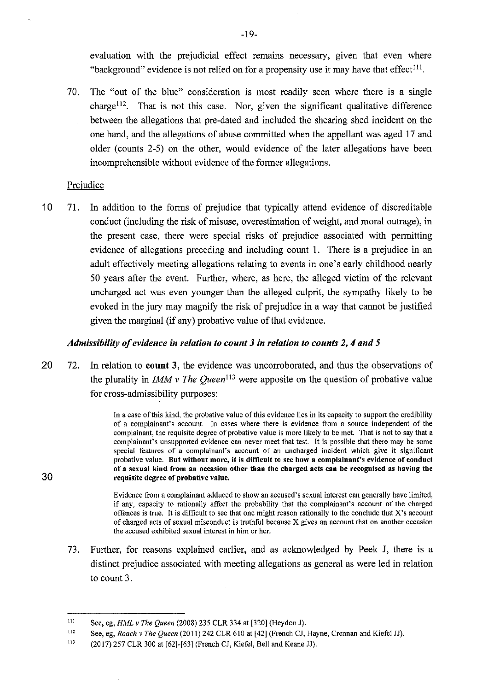evaluation with the prejudicial effect remains necessary, given that even where "background" evidence is not relied on for a propensity use it may have that effect<sup>111</sup>.

70. The "out of the blue" consideration is most readily seen where there is a single  $charge<sup>112</sup>$ . That is not this case. Nor, given the significant qualitative difference between the allegations that pre-dated and included the shearing shed incident on the one hand, and the allegations of abuse committed when the appellant was aged 17 and older ( counts 2-5) on the other, would evidence of the later allegations have been incomprehensible without evidence of the former allegations.

## Prejudice

**30** 

10 71. In addition to the forms of prejudice that typically attend evidence of discreditable conduct (including the risk of misuse, overestimation of weight, and moral outrage), in the present case, there were special risks of prejudice associated with permitting evidence of allegations preceding and including count 1. There is a prejudice in an adult effectively meeting allegations relating to events in one's early childhood nearly 50 years after the event. Further, where, as here, the alleged victim of the relevant uncharged act was even younger than the alleged culprit, the sympathy likely to be evoked in the jury may magnify the risk of prejudice in a way that cannot be justified given the marginal (if any) probative value of that evidence.

# *Admissibility of evidence in relation to count 3 in relation to counts 2, 4 and 5*

20 72. In relation to **count 3,** the evidence was uncorroborated, and thus the observations of the plurality in *IMM v The Queen*<sup>113</sup> were apposite on the question of probative value for cross-admissibility purposes:

> In a case of this kind, the probative value of this evidence lies in its capacity to support the credibility of a complainant's account. In cases where there is evidence from a source independent of the complainant, the requisite degree of probative value is more likely to be met. That is not to say that a complainant's unsupported evidence can never meet that test. It is possible that there may be some special features of a complainant's account of an uncharged incident which give it significant probative value. But without more, it is difficult to see how a complainant's evidence of conduct of a sexual kind from an occasion other than the charged acts can be recognised as having the requisite degree of probative value.

> Evidence from a complainant adduced to show an accused's sexual interest can generally have limited, if any, capacity to rationally affect the probability that the complainant's account of the charged offences is true. It is difficult to see that one might reason rationally to the conclude that X's account of charged acts of sexual misconduct is truthful because X gives an account that on another occasion the accused exhibited sexual interest in him or her.

73. Further, for reasons explained earlier, and as acknowledged by Peek J, there is a distinct prejudice associated with meeting allegations as general as were led in relation to count 3.

Ill See, eg, *HML v The Queen* (2008) 235 CLR 334 at [320] (Heydon J).

<sup>112</sup>  See, eg, *Roach v The Queen* (2011) 242 CLR 610 at [42] (French CJ, Hayne, Crennan and Kiefel JJ).

Ill (2017) 257 CLR 300 at [62]-[63] (French CJ, Kiefel, Bell and Keane JJ).